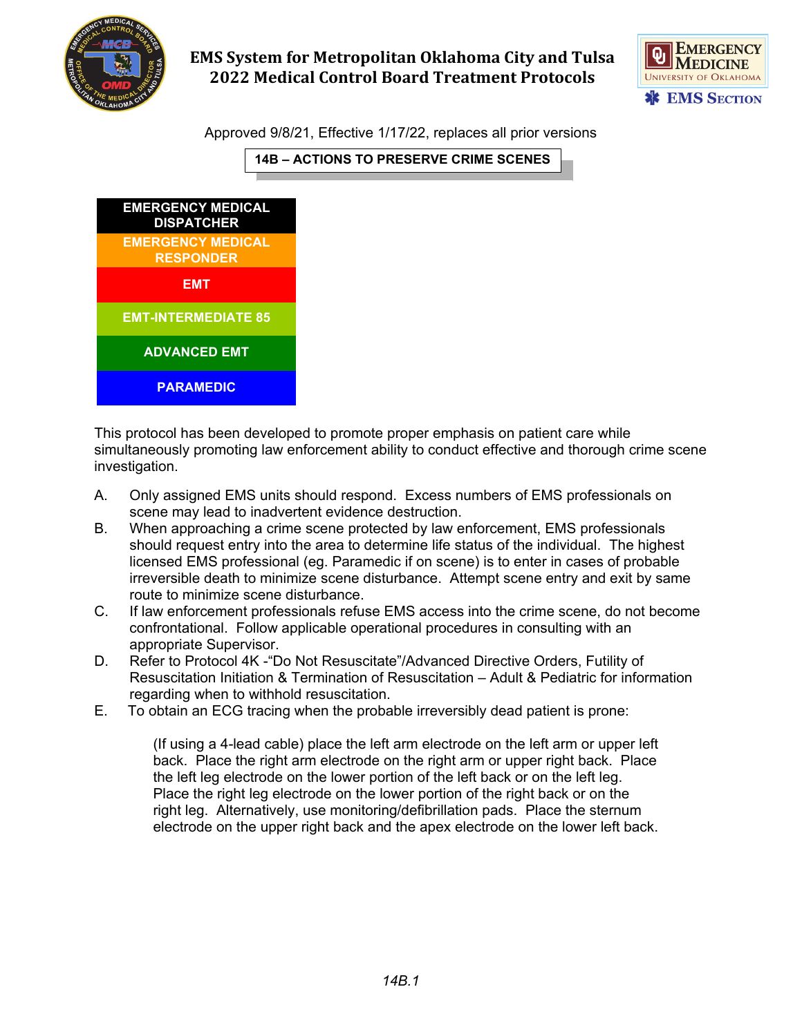

## **EMS System for Metropolitan Oklahoma City and Tulsa 2022 Medical Control Board Treatment Protocols**



Approved 9/8/21, Effective 1/17/22, replaces all prior versions

**14B – ACTIONS TO PRESERVE CRIME SCENES**



This protocol has been developed to promote proper emphasis on patient care while simultaneously promoting law enforcement ability to conduct effective and thorough crime scene investigation.

- A. Only assigned EMS units should respond. Excess numbers of EMS professionals on scene may lead to inadvertent evidence destruction.
- B. When approaching a crime scene protected by law enforcement, EMS professionals should request entry into the area to determine life status of the individual. The highest licensed EMS professional (eg. Paramedic if on scene) is to enter in cases of probable irreversible death to minimize scene disturbance. Attempt scene entry and exit by same route to minimize scene disturbance.
- C. If law enforcement professionals refuse EMS access into the crime scene, do not become confrontational. Follow applicable operational procedures in consulting with an appropriate Supervisor.
- D. Refer to Protocol 4K -"Do Not Resuscitate"/Advanced Directive Orders, Futility of Resuscitation Initiation & Termination of Resuscitation – Adult & Pediatric for information regarding when to withhold resuscitation.
- E. To obtain an ECG tracing when the probable irreversibly dead patient is prone:

(If using a 4-lead cable) place the left arm electrode on the left arm or upper left back. Place the right arm electrode on the right arm or upper right back. Place the left leg electrode on the lower portion of the left back or on the left leg. Place the right leg electrode on the lower portion of the right back or on the right leg. Alternatively, use monitoring/defibrillation pads. Place the sternum electrode on the upper right back and the apex electrode on the lower left back.